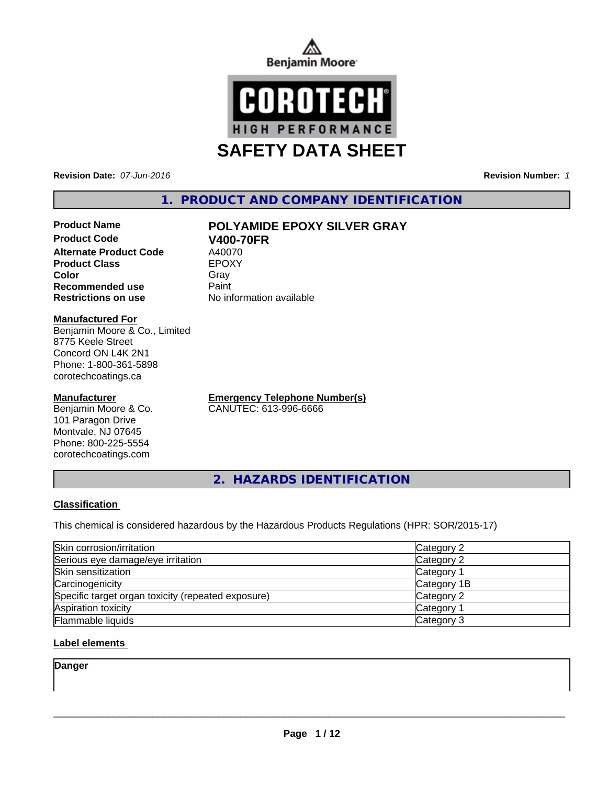



**Revision Date:** *07-Jun-2016* **Revision Number:** *1*

# **1. PRODUCT AND COMPANY IDENTIFICATION**

# **Product Name POLYAMIDE EPOXY SILVER GRAY**

**Product Code V400-70FR**<br> **Alternate Product Code** A40070 **Alternate Product Code** A40070<br> **Product Class** EPOXY **Product Class Recommended use Paint Restrictions on use** No information available

**Color** Gray Gray

#### **Manufactured For**

Benjamin Moore & Co., Limited 8775 Keele Street Concord ON L4K 2N1 Phone: 1-800-361-5898 corotechcoatings.ca

#### **Manufacturer**

Benjamin Moore & Co. 101 Paragon Drive Montvale, NJ 07645 Phone: 800-225-5554 corotechcoatings.com

**Emergency Telephone Number(s)** CANUTEC: 613-996-6666

**2. HAZARDS IDENTIFICATION**

#### **Classification**

This chemical is considered hazardous by the Hazardous Products Regulations (HPR: SOR/2015-17)

| Skin corrosion/irritation                          | Category 2            |
|----------------------------------------------------|-----------------------|
| Serious eye damage/eye irritation                  | Category 2            |
| Skin sensitization                                 | Category <sup>2</sup> |
| Carcinogenicity                                    | Category 1B           |
| Specific target organ toxicity (repeated exposure) | Category 2            |
| Aspiration toxicity                                | Category <sup>2</sup> |
| Flammable liquids                                  | Category 3            |

#### **Label elements**

**Danger**

 $\overline{\phantom{a}}$  ,  $\overline{\phantom{a}}$  ,  $\overline{\phantom{a}}$  ,  $\overline{\phantom{a}}$  ,  $\overline{\phantom{a}}$  ,  $\overline{\phantom{a}}$  ,  $\overline{\phantom{a}}$  ,  $\overline{\phantom{a}}$  ,  $\overline{\phantom{a}}$  ,  $\overline{\phantom{a}}$  ,  $\overline{\phantom{a}}$  ,  $\overline{\phantom{a}}$  ,  $\overline{\phantom{a}}$  ,  $\overline{\phantom{a}}$  ,  $\overline{\phantom{a}}$  ,  $\overline{\phantom{a}}$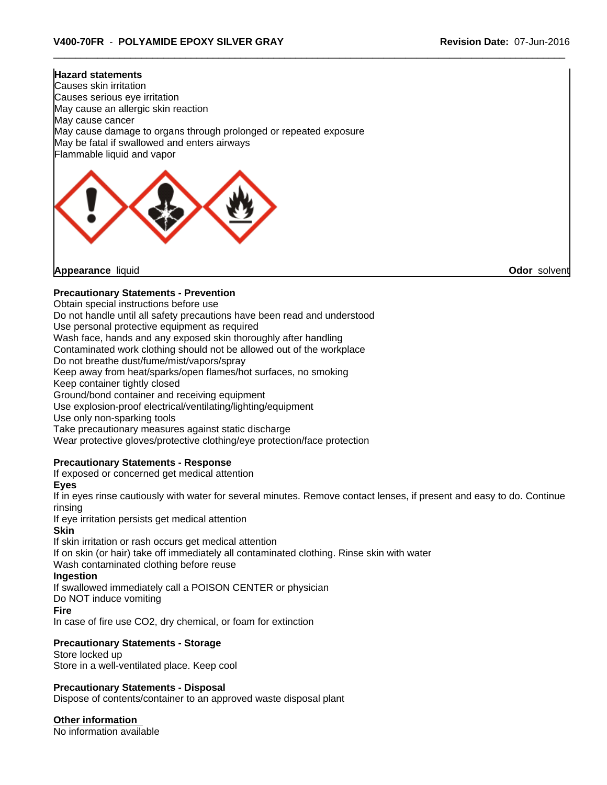# **Hazard statements** Causes skin irritation Causes serious eye irritation May cause an allergic skin reaction May cause cancer May cause damage to organs through prolonged or repeated exposure May be fatal if swallowed and enters airways Flammable liquid and vapor

**Appearance** liquid **Odor** solvent

### **Precautionary Statements - Prevention**

Obtain special instructions before use

Do not handle until all safety precautions have been read and understood

Use personal protective equipment as required

Wash face, hands and any exposed skin thoroughly after handling

Contaminated work clothing should not be allowed out of the workplace

Do not breathe dust/fume/mist/vapors/spray

Keep away from heat/sparks/open flames/hot surfaces, no smoking

Keep container tightly closed

Ground/bond container and receiving equipment

Use explosion-proof electrical/ventilating/lighting/equipment

Use only non-sparking tools

Take precautionary measures against static discharge

Wear protective gloves/protective clothing/eye protection/face protection

#### **Precautionary Statements - Response**

If exposed or concerned get medical attention

**Eyes**

If in eyes rinse cautiously with water for several minutes. Remove contact lenses, if present and easy to do. Continue rinsing

If eye irritation persists get medical attention

#### **Skin**

If skin irritation or rash occurs get medical attention If on skin (or hair) take off immediately all contaminated clothing. Rinse skin with water Wash contaminated clothing before reuse

#### **Ingestion**

If swallowed immediately call a POISON CENTER or physician

Do NOT induce vomiting

#### **Fire**

In case of fire use CO2, dry chemical, or foam for extinction

#### **Precautionary Statements - Storage**

Store locked up Store in a well-ventilated place. Keep cool

#### **Precautionary Statements - Disposal**

Dispose of contents/container to an approved waste disposal plant

**Other information**

No information available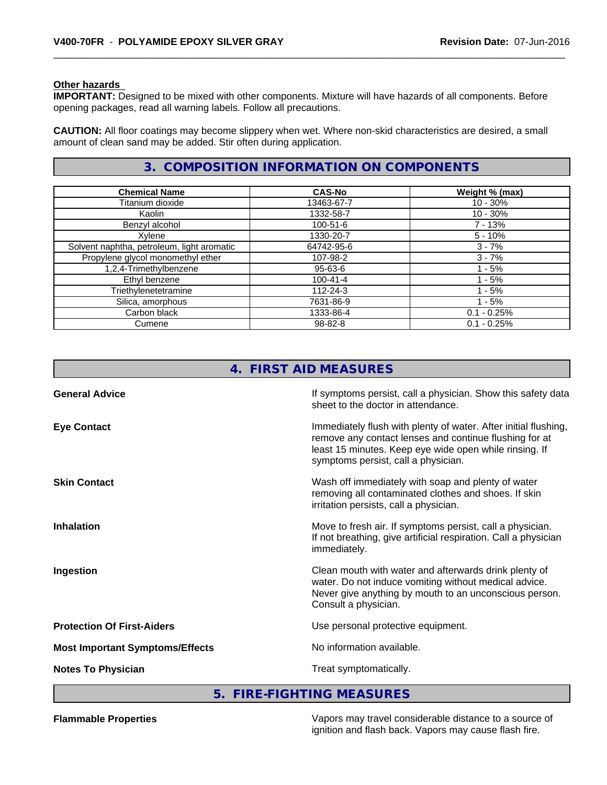#### **Other hazards**

**IMPORTANT:** Designed to be mixed with other components. Mixture will have hazards of all components. Before opening packages, read all warning labels. Follow all precautions.

**CAUTION:** All floor coatings may become slippery when wet. Where non-skid characteristics are desired, a small amount of clean sand may be added. Stir often during application.

# **3. COMPOSITION INFORMATION ON COMPONENTS**

| <b>Chemical Name</b>                       | <b>CAS-No</b>  | Weight % (max) |
|--------------------------------------------|----------------|----------------|
| Titanium dioxide                           | 13463-67-7     | $10 - 30%$     |
| Kaolin                                     | 1332-58-7      | $10 - 30%$     |
| Benzyl alcohol                             | $100 - 51 - 6$ | $7 - 13%$      |
| Xylene                                     | 1330-20-7      | $5 - 10%$      |
| Solvent naphtha, petroleum, light aromatic | 64742-95-6     | $3 - 7%$       |
| Propylene glycol monomethyl ether          | 107-98-2       | $3 - 7%$       |
| 1,2,4-Trimethylbenzene                     | 95-63-6        | $1 - 5%$       |
| Ethyl benzene                              | $100 - 41 - 4$ | - 5%           |
| Triethylenetetramine                       | 112-24-3       | $-5%$          |
| Silica, amorphous                          | 7631-86-9      | 1 - 5%         |
| Carbon black                               | 1333-86-4      | $0.1 - 0.25%$  |
| Cumene                                     | 98-82-8        | $0.1 - 0.25%$  |

| 4 <sub>1</sub>                         | <b>FIRST AID MEASURES</b>                                                                                                                                                                                                  |
|----------------------------------------|----------------------------------------------------------------------------------------------------------------------------------------------------------------------------------------------------------------------------|
| <b>General Advice</b>                  | If symptoms persist, call a physician. Show this safety data<br>sheet to the doctor in attendance.                                                                                                                         |
| <b>Eye Contact</b>                     | Immediately flush with plenty of water. After initial flushing,<br>remove any contact lenses and continue flushing for at<br>least 15 minutes. Keep eye wide open while rinsing. If<br>symptoms persist, call a physician. |
| <b>Skin Contact</b>                    | Wash off immediately with soap and plenty of water<br>removing all contaminated clothes and shoes. If skin<br>irritation persists, call a physician.                                                                       |
| <b>Inhalation</b>                      | Move to fresh air. If symptoms persist, call a physician.<br>If not breathing, give artificial respiration. Call a physician<br>immediately.                                                                               |
| Ingestion                              | Clean mouth with water and afterwards drink plenty of<br>water. Do not induce vomiting without medical advice.<br>Never give anything by mouth to an unconscious person.<br>Consult a physician.                           |
| <b>Protection Of First-Aiders</b>      | Use personal protective equipment.                                                                                                                                                                                         |
| <b>Most Important Symptoms/Effects</b> | No information available.                                                                                                                                                                                                  |
| <b>Notes To Physician</b>              | Treat symptomatically.                                                                                                                                                                                                     |
|                                        |                                                                                                                                                                                                                            |

**5. FIRE-FIGHTING MEASURES**

**Flammable Properties** Vapors may travel considerable distance to a source of ignition and flash back. Vapors may cause flash fire.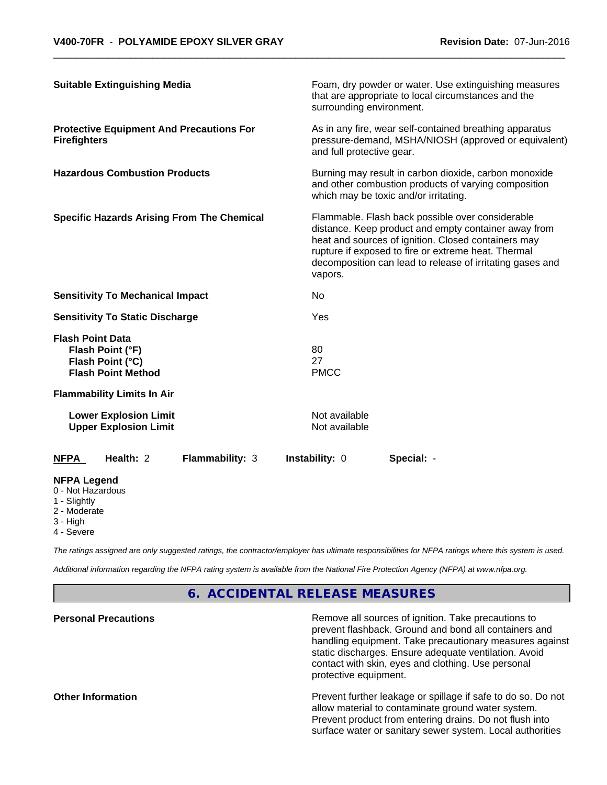| <b>Suitable Extinguishing Media</b>                                                          |                 | surrounding environment.       | Foam, dry powder or water. Use extinguishing measures<br>that are appropriate to local circumstances and the                                                                                                                                                                        |  |  |
|----------------------------------------------------------------------------------------------|-----------------|--------------------------------|-------------------------------------------------------------------------------------------------------------------------------------------------------------------------------------------------------------------------------------------------------------------------------------|--|--|
| <b>Protective Equipment And Precautions For</b><br><b>Firefighters</b>                       |                 |                                | As in any fire, wear self-contained breathing apparatus<br>pressure-demand, MSHA/NIOSH (approved or equivalent)<br>and full protective gear.                                                                                                                                        |  |  |
| <b>Hazardous Combustion Products</b>                                                         |                 |                                | Burning may result in carbon dioxide, carbon monoxide<br>and other combustion products of varying composition<br>which may be toxic and/or irritating.                                                                                                                              |  |  |
| <b>Specific Hazards Arising From The Chemical</b>                                            |                 | vapors.                        | Flammable. Flash back possible over considerable<br>distance. Keep product and empty container away from<br>heat and sources of ignition. Closed containers may<br>rupture if exposed to fire or extreme heat. Thermal<br>decomposition can lead to release of irritating gases and |  |  |
| <b>Sensitivity To Mechanical Impact</b>                                                      |                 | No                             |                                                                                                                                                                                                                                                                                     |  |  |
| <b>Sensitivity To Static Discharge</b>                                                       |                 | Yes                            |                                                                                                                                                                                                                                                                                     |  |  |
| <b>Flash Point Data</b><br>Flash Point (°F)<br>Flash Point (°C)<br><b>Flash Point Method</b> |                 | 80<br>27<br><b>PMCC</b>        |                                                                                                                                                                                                                                                                                     |  |  |
| <b>Flammability Limits In Air</b>                                                            |                 |                                |                                                                                                                                                                                                                                                                                     |  |  |
| <b>Lower Explosion Limit</b><br><b>Upper Explosion Limit</b>                                 |                 | Not available<br>Not available |                                                                                                                                                                                                                                                                                     |  |  |
| Health: 2<br><b>NFPA</b>                                                                     | Flammability: 3 | Instability: 0                 | Special: -                                                                                                                                                                                                                                                                          |  |  |
| <b>NFPA Legend</b><br>0 - Not Hazardous<br>1 - Slightly<br>2 - Moderate<br>3 - High          |                 |                                |                                                                                                                                                                                                                                                                                     |  |  |

4 - Severe

*The ratings assigned are only suggested ratings, the contractor/employer has ultimate responsibilities for NFPA ratings where this system is used.*

*Additional information regarding the NFPA rating system is available from the National Fire Protection Agency (NFPA) at www.nfpa.org.*

# **6. ACCIDENTAL RELEASE MEASURES**

| <b>Personal Precautions</b> | Remove all sources of ignition. Take precautions to<br>prevent flashback. Ground and bond all containers and<br>handling equipment. Take precautionary measures against<br>static discharges. Ensure adequate ventilation. Avoid<br>contact with skin, eyes and clothing. Use personal<br>protective equipment. |
|-----------------------------|-----------------------------------------------------------------------------------------------------------------------------------------------------------------------------------------------------------------------------------------------------------------------------------------------------------------|
| <b>Other Information</b>    | Prevent further leakage or spillage if safe to do so. Do not<br>allow material to contaminate ground water system.<br>Prevent product from entering drains. Do not flush into<br>surface water or sanitary sewer system. Local authorities                                                                      |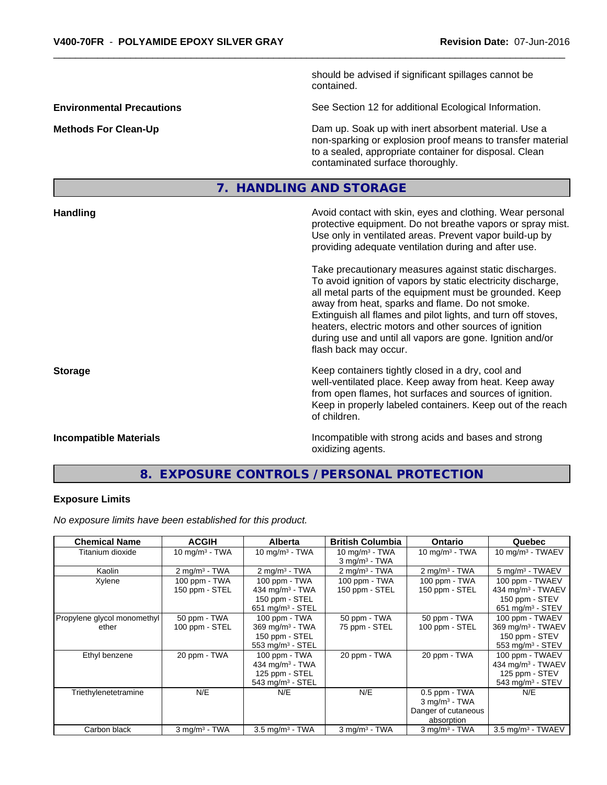|                                  |  | should be advised if significant spillages cannot be<br>contained.                                                                                                                                                                                                                                                                                                                                                                                                                                                                                                                                                                                                                                 |
|----------------------------------|--|----------------------------------------------------------------------------------------------------------------------------------------------------------------------------------------------------------------------------------------------------------------------------------------------------------------------------------------------------------------------------------------------------------------------------------------------------------------------------------------------------------------------------------------------------------------------------------------------------------------------------------------------------------------------------------------------------|
| <b>Environmental Precautions</b> |  | See Section 12 for additional Ecological Information.                                                                                                                                                                                                                                                                                                                                                                                                                                                                                                                                                                                                                                              |
| <b>Methods For Clean-Up</b>      |  | Dam up. Soak up with inert absorbent material. Use a<br>non-sparking or explosion proof means to transfer material<br>to a sealed, appropriate container for disposal. Clean<br>contaminated surface thoroughly.                                                                                                                                                                                                                                                                                                                                                                                                                                                                                   |
|                                  |  | 7. HANDLING AND STORAGE                                                                                                                                                                                                                                                                                                                                                                                                                                                                                                                                                                                                                                                                            |
| <b>Handling</b>                  |  | Avoid contact with skin, eyes and clothing. Wear personal<br>protective equipment. Do not breathe vapors or spray mist.<br>Use only in ventilated areas. Prevent vapor build-up by<br>providing adequate ventilation during and after use.<br>Take precautionary measures against static discharges.<br>To avoid ignition of vapors by static electricity discharge,<br>all metal parts of the equipment must be grounded. Keep<br>away from heat, sparks and flame. Do not smoke.<br>Extinguish all flames and pilot lights, and turn off stoves,<br>heaters, electric motors and other sources of ignition<br>during use and until all vapors are gone. Ignition and/or<br>flash back may occur. |
| <b>Storage</b>                   |  | Keep containers tightly closed in a dry, cool and<br>well-ventilated place. Keep away from heat. Keep away<br>from open flames, hot surfaces and sources of ignition.<br>Keep in properly labeled containers. Keep out of the reach<br>of children.                                                                                                                                                                                                                                                                                                                                                                                                                                                |
| <b>Incompatible Materials</b>    |  | Incompatible with strong acids and bases and strong<br>oxidizing agents.                                                                                                                                                                                                                                                                                                                                                                                                                                                                                                                                                                                                                           |

# **8. EXPOSURE CONTROLS / PERSONAL PROTECTION**

# **Exposure Limits**

*No exposure limits have been established for this product.*

| <b>Chemical Name</b>                 | <b>ACGIH</b>                    | <b>Alberta</b>                                                                                 | <b>British Columbia</b>                 | <b>Ontario</b>                                                                      | Quebec                                                                                             |
|--------------------------------------|---------------------------------|------------------------------------------------------------------------------------------------|-----------------------------------------|-------------------------------------------------------------------------------------|----------------------------------------------------------------------------------------------------|
| Titanium dioxide                     | 10 mg/m $3$ - TWA               | $10 \text{ mg/m}^3$ - TWA                                                                      | 10 mg/m $3$ - TWA<br>$3$ mg/m $3$ - TWA | 10 mg/m $3$ - TWA                                                                   | 10 mg/m $3$ - TWAEV                                                                                |
| Kaolin                               | $2 \text{ mg/m}^3$ - TWA        | $2$ mg/m <sup>3</sup> - TWA                                                                    | $2 \text{ mg/m}^3$ - TWA                | $2 \text{ mg/m}^3$ - TWA                                                            | 5 mg/m <sup>3</sup> - TWAEV                                                                        |
| Xylene                               | 100 ppm - TWA<br>150 ppm - STEL | 100 ppm - TWA<br>434 mg/m <sup>3</sup> - TWA<br>150 ppm - STEL<br>651 mg/m $3 -$ STEL          | 100 ppm - TWA<br>150 ppm - STEL         | 100 ppm - TWA<br>150 ppm - STEL                                                     | 100 ppm - TWAEV<br>434 mg/m <sup>3</sup> - TWAEV<br>150 ppm - STEV<br>651 mg/m <sup>3</sup> - STEV |
| Propylene glycol monomethyl<br>ether | 50 ppm - TWA<br>100 ppm - STEL  | 100 ppm - TWA<br>369 mg/m $3 - TWA$<br>150 ppm - STEL<br>553 mg/m $3$ - STEL                   | 50 ppm - TWA<br>75 ppm - STEL           | 50 ppm - TWA<br>100 ppm - STEL                                                      | 100 ppm - TWAEV<br>369 mg/m <sup>3</sup> - TWAEV<br>150 ppm - STEV<br>553 mg/m $3 -$ STEV          |
| Ethyl benzene                        | 20 ppm - TWA                    | 100 ppm - TWA<br>434 mg/m <sup>3</sup> - TWA<br>125 ppm - STEL<br>543 mg/m <sup>3</sup> - STEL | 20 ppm - TWA                            | 20 ppm - TWA                                                                        | 100 ppm - TWAEV<br>434 mg/m <sup>3</sup> - TWAEV<br>125 ppm - STEV<br>543 mg/m <sup>3</sup> - STEV |
| Triethylenetetramine                 | N/E                             | N/E                                                                                            | N/E                                     | $0.5$ ppm - TWA<br>$3$ mg/m <sup>3</sup> - TWA<br>Danger of cutaneous<br>absorption | N/E                                                                                                |
| Carbon black                         | $3$ mg/m <sup>3</sup> - TWA     | $3.5$ mg/m <sup>3</sup> - TWA                                                                  | $3$ mg/m $3$ - TWA                      | $3$ mg/m <sup>3</sup> - TWA                                                         | 3.5 mg/m <sup>3</sup> - TWAEV                                                                      |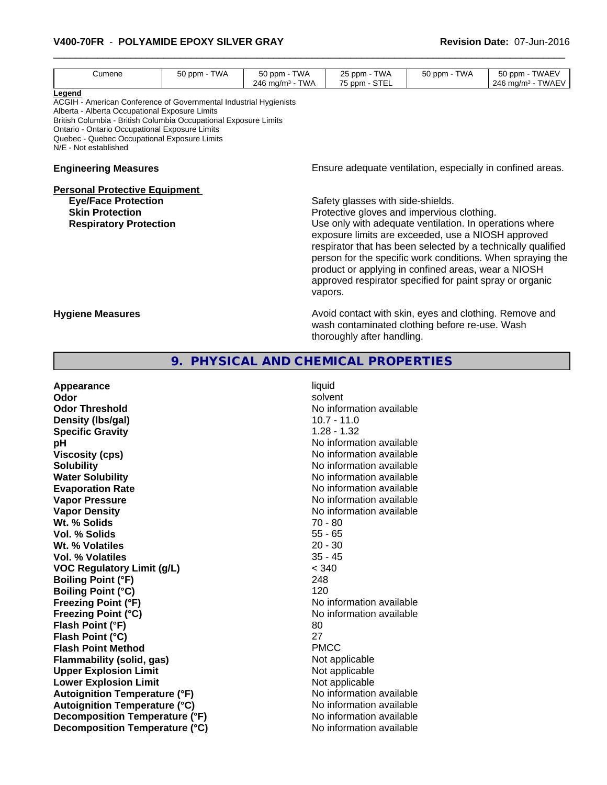#### \_\_\_\_\_\_\_\_\_\_\_\_\_\_\_\_\_\_\_\_\_\_\_\_\_\_\_\_\_\_\_\_\_\_\_\_\_\_\_\_\_\_\_\_\_\_\_\_\_\_\_\_\_\_\_\_\_\_\_\_\_\_\_\_\_\_\_\_\_\_\_\_\_\_\_\_\_\_\_\_\_\_\_\_\_\_\_\_\_\_\_\_\_ **V400-70FR** - **POLYAMIDE EPOXY SILVER GRAY Revision Date:** 07-Jun-2016

| Cumene                                                                                                                                                                                                                                                                                                                       | 50 ppm - TWA | 50 ppm - TWA                | 25 ppm - TWA                                                                                                                                                                                                                                                                                                                                                                                                                                                                                                                                                                                           | 50 ppm - TWA | 50 ppm - TWAEV                                             |  |
|------------------------------------------------------------------------------------------------------------------------------------------------------------------------------------------------------------------------------------------------------------------------------------------------------------------------------|--------------|-----------------------------|--------------------------------------------------------------------------------------------------------------------------------------------------------------------------------------------------------------------------------------------------------------------------------------------------------------------------------------------------------------------------------------------------------------------------------------------------------------------------------------------------------------------------------------------------------------------------------------------------------|--------------|------------------------------------------------------------|--|
| Legend<br>ACGIH - American Conference of Governmental Industrial Hygienists<br>Alberta - Alberta Occupational Exposure Limits<br>British Columbia - British Columbia Occupational Exposure Limits<br>Ontario - Ontario Occupational Exposure Limits<br>Quebec - Quebec Occupational Exposure Limits<br>N/E - Not established |              | 246 mg/m <sup>3</sup> - TWA | 75 ppm - STEL                                                                                                                                                                                                                                                                                                                                                                                                                                                                                                                                                                                          |              | 246 mg/m <sup>3</sup> - TWAEV                              |  |
| <b>Engineering Measures</b>                                                                                                                                                                                                                                                                                                  |              |                             |                                                                                                                                                                                                                                                                                                                                                                                                                                                                                                                                                                                                        |              | Ensure adequate ventilation, especially in confined areas. |  |
| <b>Personal Protective Equipment</b><br><b>Eye/Face Protection</b><br><b>Skin Protection</b><br><b>Respiratory Protection</b><br><b>Hygiene Measures</b>                                                                                                                                                                     |              |                             | Safety glasses with side-shields.<br>Protective gloves and impervious clothing.<br>Use only with adequate ventilation. In operations where<br>exposure limits are exceeded, use a NIOSH approved<br>respirator that has been selected by a technically qualified<br>person for the specific work conditions. When spraying the<br>product or applying in confined areas, wear a NIOSH<br>approved respirator specified for paint spray or organic<br>vapors.<br>Avoid contact with skin, eyes and clothing. Remove and<br>wash contaminated clothing before re-use. Wash<br>thoroughly after handling. |              |                                                            |  |
|                                                                                                                                                                                                                                                                                                                              |              |                             |                                                                                                                                                                                                                                                                                                                                                                                                                                                                                                                                                                                                        |              |                                                            |  |
| <b>Appearance</b><br>Odor<br><b>Odor Threshold</b><br>Density (Ibs/gal)<br><b>Specific Gravity</b><br>pH                                                                                                                                                                                                                     |              | liquid                      | solvent<br>No information available<br>$10.7 - 11.0$<br>$1.28 - 1.32$<br>No information available                                                                                                                                                                                                                                                                                                                                                                                                                                                                                                      |              |                                                            |  |

| <b>Specific Gravity</b>              | $1.28 - 1.32$            |
|--------------------------------------|--------------------------|
| рH                                   | No information available |
| <b>Viscosity (cps)</b>               | No information available |
| <b>Solubility</b>                    | No information available |
| <b>Water Solubility</b>              | No information available |
| <b>Evaporation Rate</b>              | No information available |
| <b>Vapor Pressure</b>                | No information available |
| <b>Vapor Density</b>                 | No information available |
| Wt. % Solids                         | 70 - 80                  |
| <b>Vol. % Solids</b>                 | $55 - 65$                |
| Wt. % Volatiles                      | $20 - 30$                |
| Vol. % Volatiles                     | $35 - 45$                |
| <b>VOC Regulatory Limit (g/L)</b>    | < 340                    |
| <b>Boiling Point (°F)</b>            | 248                      |
| <b>Boiling Point (°C)</b>            | 120                      |
| <b>Freezing Point (°F)</b>           | No information available |
| <b>Freezing Point (°C)</b>           | No information available |
| Flash Point (°F)                     | 80                       |
| Flash Point (°C)                     | 27                       |
| <b>Flash Point Method</b>            | <b>PMCC</b>              |
| <b>Flammability (solid, gas)</b>     | Not applicable           |
| <b>Upper Explosion Limit</b>         | Not applicable           |
| <b>Lower Explosion Limit</b>         | Not applicable           |
| <b>Autoignition Temperature (°F)</b> | No information available |
| <b>Autoignition Temperature (°C)</b> | No information available |
| Decomposition Temperature (°F)       | No information available |
| Decomposition Temperature (°C)       | No information available |

**Viscosity (cps)** No information available **No information available No information available No information available No information available No information available**<br>**70 - 80 No information available Freezing Point (°C)** No information available **Flammability (solid, gas)** Not applicable **Not applicable Not applicable No information available No information available No information available**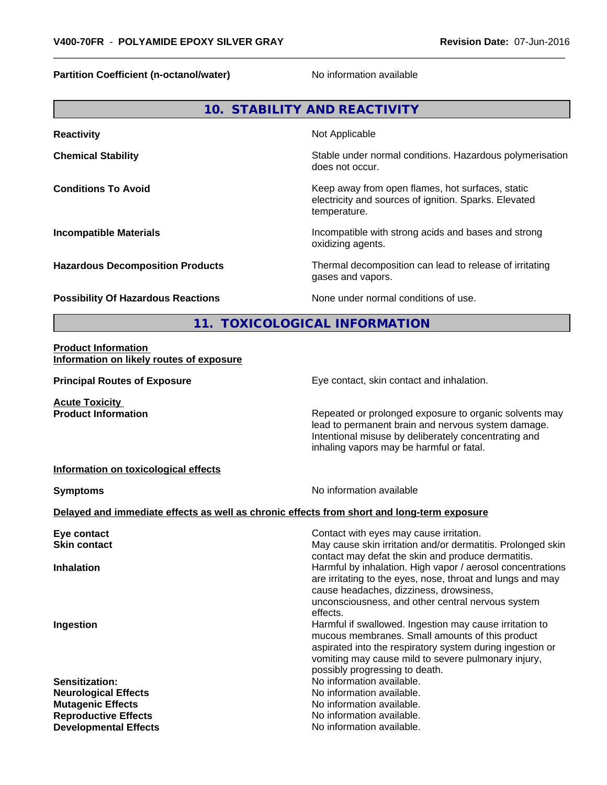**Partition Coefficient (n-octanol/water)** No information available

|                                                                                            | 10. STABILITY AND REACTIVITY                                                                                                                                                                                     |
|--------------------------------------------------------------------------------------------|------------------------------------------------------------------------------------------------------------------------------------------------------------------------------------------------------------------|
| <b>Reactivity</b>                                                                          | Not Applicable                                                                                                                                                                                                   |
| <b>Chemical Stability</b>                                                                  | Stable under normal conditions. Hazardous polymerisation<br>does not occur.                                                                                                                                      |
| <b>Conditions To Avoid</b>                                                                 | Keep away from open flames, hot surfaces, static<br>electricity and sources of ignition. Sparks. Elevated<br>temperature.                                                                                        |
| <b>Incompatible Materials</b>                                                              | Incompatible with strong acids and bases and strong<br>oxidizing agents.                                                                                                                                         |
| <b>Hazardous Decomposition Products</b>                                                    | Thermal decomposition can lead to release of irritating<br>gases and vapors.                                                                                                                                     |
| <b>Possibility Of Hazardous Reactions</b>                                                  | None under normal conditions of use.                                                                                                                                                                             |
|                                                                                            | 11. TOXICOLOGICAL INFORMATION                                                                                                                                                                                    |
| <b>Product Information</b><br>Information on likely routes of exposure                     |                                                                                                                                                                                                                  |
| <b>Principal Routes of Exposure</b>                                                        | Eye contact, skin contact and inhalation.                                                                                                                                                                        |
| <b>Acute Toxicity</b><br><b>Product Information</b>                                        | Repeated or prolonged exposure to organic solvents may<br>lead to permanent brain and nervous system damage.<br>Intentional misuse by deliberately concentrating and<br>inhaling vapors may be harmful or fatal. |
| Information on toxicological effects                                                       |                                                                                                                                                                                                                  |
| <b>Symptoms</b>                                                                            | No information available                                                                                                                                                                                         |
| Delayed and immediate effects as well as chronic effects from short and long-term exposure |                                                                                                                                                                                                                  |
|                                                                                            |                                                                                                                                                                                                                  |

| Eye contact                  | Contact with eyes may cause irritation.                     |
|------------------------------|-------------------------------------------------------------|
| <b>Skin contact</b>          | May cause skin irritation and/or dermatitis. Prolonged skin |
|                              | contact may defat the skin and produce dermatitis.          |
| <b>Inhalation</b>            | Harmful by inhalation. High vapor / aerosol concentrations  |
|                              | are irritating to the eyes, nose, throat and lungs and may  |
|                              | cause headaches, dizziness, drowsiness,                     |
|                              | unconsciousness, and other central nervous system           |
|                              | effects.                                                    |
| Ingestion                    | Harmful if swallowed. Ingestion may cause irritation to     |
|                              | mucous membranes. Small amounts of this product             |
|                              | aspirated into the respiratory system during ingestion or   |
|                              | vomiting may cause mild to severe pulmonary injury,         |
|                              | possibly progressing to death.                              |
| Sensitization:               | No information available.                                   |
| <b>Neurological Effects</b>  | No information available.                                   |
| <b>Mutagenic Effects</b>     | No information available.                                   |
| <b>Reproductive Effects</b>  | No information available.                                   |
| <b>Developmental Effects</b> | No information available.                                   |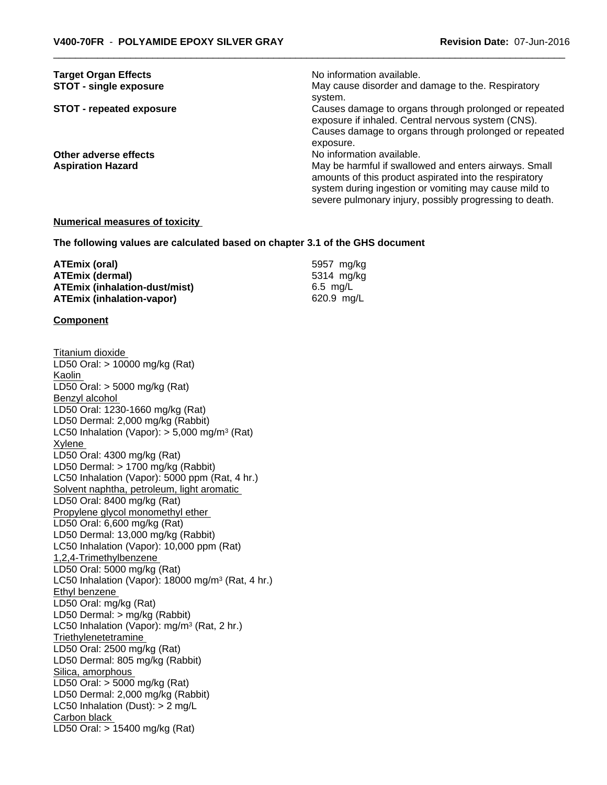| <b>Target Organ Effects</b>     | No information available.                                                                                                                                                                                                           |
|---------------------------------|-------------------------------------------------------------------------------------------------------------------------------------------------------------------------------------------------------------------------------------|
| <b>STOT - single exposure</b>   | May cause disorder and damage to the. Respiratory<br>system.                                                                                                                                                                        |
| <b>STOT - repeated exposure</b> | Causes damage to organs through prolonged or repeated<br>exposure if inhaled. Central nervous system (CNS).                                                                                                                         |
|                                 | Causes damage to organs through prolonged or repeated<br>exposure.                                                                                                                                                                  |
| Other adverse effects           | No information available.                                                                                                                                                                                                           |
| <b>Aspiration Hazard</b>        | May be harmful if swallowed and enters airways. Small<br>amounts of this product aspirated into the respiratory<br>system during ingestion or vomiting may cause mild to<br>severe pulmonary injury, possibly progressing to death. |
|                                 |                                                                                                                                                                                                                                     |

#### **Numerical measures of toxicity**

**The following values are calculated based on chapter 3.1 of the GHS document**

| ATEmix (oral)                        | 5957 mg/kg |
|--------------------------------------|------------|
| <b>ATEmix (dermal)</b>               | 5314 ma/ka |
| <b>ATEmix (inhalation-dust/mist)</b> | 6.5 ma/L   |
| <b>ATEmix (inhalation-vapor)</b>     | 620.9 mg/L |

#### **Component**

Titanium dioxide LD50 Oral: > 10000 mg/kg (Rat) Kaolin LD50 Oral: > 5000 mg/kg (Rat) Benzyl alcohol LD50 Oral: 1230-1660 mg/kg (Rat) LD50 Dermal: 2,000 mg/kg (Rabbit) LC50 Inhalation (Vapor): > 5,000 mg/m<sup>3</sup> (Rat) Xylene LD50 Oral: 4300 mg/kg (Rat) LD50 Dermal: > 1700 mg/kg (Rabbit) LC50 Inhalation (Vapor): 5000 ppm (Rat, 4 hr.) Solvent naphtha, petroleum, light aromatic LD50 Oral: 8400 mg/kg (Rat) Propylene glycol monomethyl ether LD50 Oral: 6,600 mg/kg (Rat) LD50 Dermal: 13,000 mg/kg (Rabbit) LC50 Inhalation (Vapor): 10,000 ppm (Rat) 1,2,4-Trimethylbenzene LD50 Oral: 5000 mg/kg (Rat) LC50 Inhalation (Vapor): 18000 mg/m<sup>3</sup> (Rat, 4 hr.) Ethyl benzene LD50 Oral: mg/kg (Rat) LD50 Dermal: > mg/kg (Rabbit) LC50 Inhalation (Vapor): mg/m<sup>3</sup> (Rat, 2 hr.) Triethylenetetramine LD50 Oral: 2500 mg/kg (Rat) LD50 Dermal: 805 mg/kg (Rabbit) Silica, amorphous LD50 Oral: > 5000 mg/kg (Rat) LD50 Dermal: 2,000 mg/kg (Rabbit) LC50 Inhalation (Dust): > 2 mg/L Carbon black LD50 Oral: > 15400 mg/kg (Rat)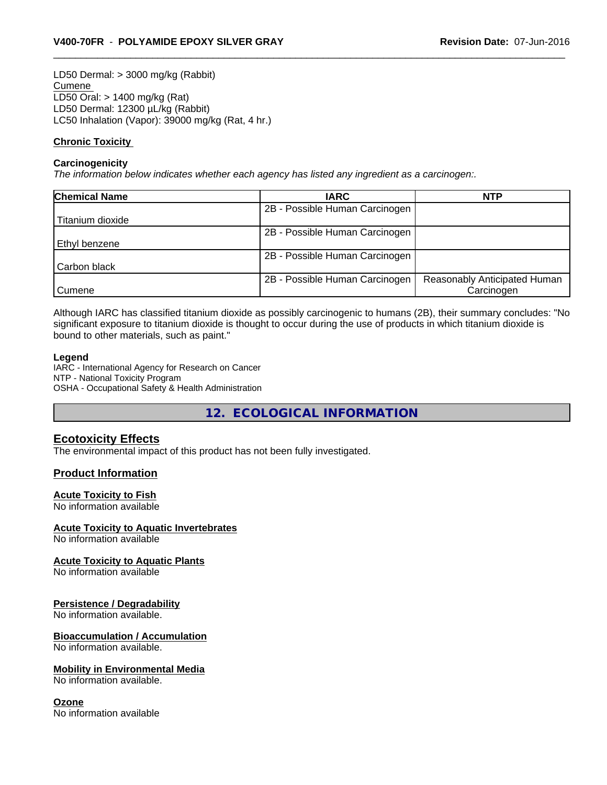LD50 Dermal: > 3000 mg/kg (Rabbit) Cumene LD50 Oral: > 1400 mg/kg (Rat) LD50 Dermal: 12300 µL/kg (Rabbit) LC50 Inhalation (Vapor): 39000 mg/kg (Rat, 4 hr.)

#### **Chronic Toxicity**

#### **Carcinogenicity**

*The information below indicateswhether each agency has listed any ingredient as a carcinogen:.*

| <b>Chemical Name</b> | <b>IARC</b>                    | <b>NTP</b>                   |  |
|----------------------|--------------------------------|------------------------------|--|
|                      | 2B - Possible Human Carcinogen |                              |  |
| Titanium dioxide     |                                |                              |  |
|                      | 2B - Possible Human Carcinogen |                              |  |
| Ethyl benzene        |                                |                              |  |
|                      | 2B - Possible Human Carcinogen |                              |  |
| Carbon black         |                                |                              |  |
|                      | 2B - Possible Human Carcinogen | Reasonably Anticipated Human |  |
| <b>Cumene</b>        |                                | Carcinogen                   |  |

Although IARC has classified titanium dioxide as possibly carcinogenic to humans (2B), their summary concludes: "No significant exposure to titanium dioxide is thought to occur during the use of products in which titanium dioxide is bound to other materials, such as paint."

#### **Legend**

IARC - International Agency for Research on Cancer NTP - National Toxicity Program OSHA - Occupational Safety & Health Administration

**12. ECOLOGICAL INFORMATION**

#### **Ecotoxicity Effects**

The environmental impact of this product has not been fully investigated.

#### **Product Information**

#### **Acute Toxicity to Fish**

No information available

#### **Acute Toxicity to Aquatic Invertebrates**

No information available

#### **Acute Toxicity to Aquatic Plants**

No information available

#### **Persistence / Degradability**

No information available.

#### **Bioaccumulation / Accumulation**

No information available.

#### **Mobility in Environmental Media**

No information available.

#### **Ozone**

No information available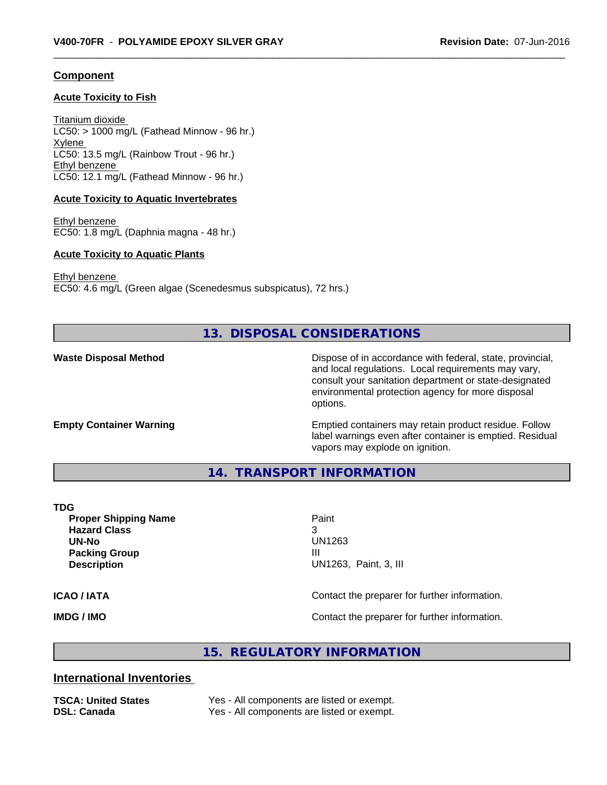#### **Component**

#### **Acute Toxicity to Fish**

Titanium dioxide  $LC50:$  > 1000 mg/L (Fathead Minnow - 96 hr.) Xylene LC50: 13.5 mg/L (Rainbow Trout - 96 hr.) Ethyl benzene LC50: 12.1 mg/L (Fathead Minnow - 96 hr.)

#### **Acute Toxicity to Aquatic Invertebrates**

Ethyl benzene EC50: 1.8 mg/L (Daphnia magna - 48 hr.)

#### **Acute Toxicity to Aquatic Plants**

Ethyl benzene EC50: 4.6 mg/L (Green algae (Scenedesmus subspicatus), 72 hrs.)

# **13. DISPOSAL CONSIDERATIONS**

**Waste Disposal Method** Mathol Dispose of in accordance with federal, state, provincial, and local regulations. Local requirements may vary, consult your sanitation department or state-designated environmental protection agency for more disposal options.

**Empty Container Warning <b>Emptied** Containers may retain product residue. Follow label warnings even after container is emptied. Residual vapors may explode on ignition.

**14. TRANSPORT INFORMATION**

#### **TDG**

**Proper Shipping Name Paint Hazard Class** 3 **UN-No** UN1263 **Packing Group III Description** UN1263, Paint, 3, III

**ICAO / IATA** Contact the preparer for further information.

**IMDG / IMO Contact the preparer for further information.** 

### **15. REGULATORY INFORMATION**

#### **International Inventories**

**TSCA: United States** Yes - All components are listed or exempt. **DSL: Canada** Yes - All components are listed or exempt.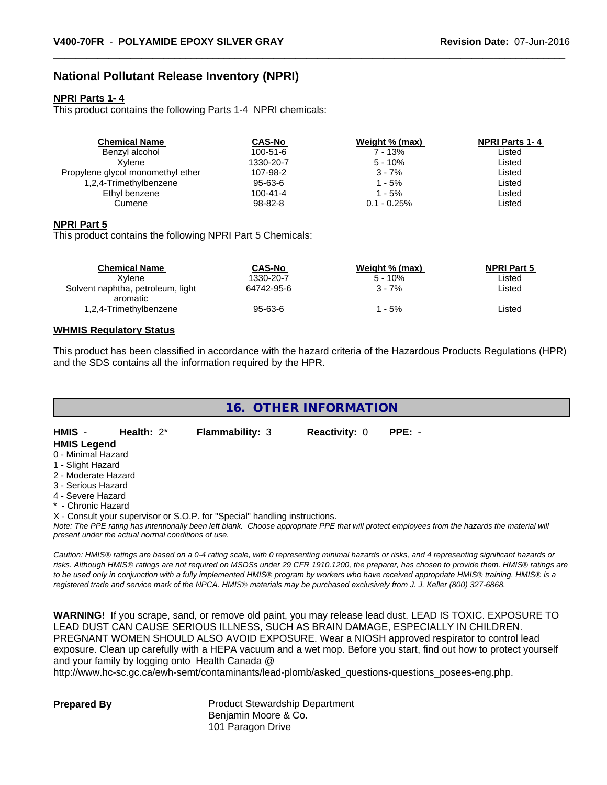# **National Pollutant Release Inventory (NPRI)**

#### **NPRI Parts 1- 4**

This product contains the following Parts 1-4 NPRI chemicals:

| <b>Chemical Name</b>              | <b>CAS-No</b>  | Weight % (max) | <b>NPRI Parts 1-4</b> |
|-----------------------------------|----------------|----------------|-----------------------|
| Benzyl alcohol                    | $100 - 51 - 6$ | 7 - 13%        | Listed                |
| Xvlene                            | 1330-20-7      | $5 - 10%$      | Listed                |
| Propylene glycol monomethyl ether | 107-98-2       | $3 - 7%$       | Listed                |
| 1,2,4-Trimethylbenzene            | 95-63-6        | $-5\%$         | Listed                |
| Ethyl benzene                     | $100 - 41 - 4$ | - 5%           | Listed                |
| Cumene                            | 98-82-8        | $0.1 - 0.25%$  | Listed                |

#### **NPRI Part 5**

This product contains the following NPRI Part 5 Chemicals:

| <b>Chemical Name</b>              | <b>CAS-No</b> | Weight % (max) | <b>NPRI Part 5</b> |  |
|-----------------------------------|---------------|----------------|--------------------|--|
| Xvlene                            | 1330-20-7     | $5 - 10%$      | Listed             |  |
| Solvent naphtha, petroleum, light | 64742-95-6    | 3 - 7%         | Listed             |  |
| aromatic                          |               |                |                    |  |
| 1,2,4-Trimethylbenzene            | 95-63-6       | - 5%           | Listed             |  |
|                                   |               |                |                    |  |

#### **WHMIS Regulatory Status**

This product has been classified in accordance with the hazard criteria of the Hazardous Products Regulations (HPR) and the SDS contains all the information required by the HPR.

| 16. OTHER INFORMATION                                                      |                                                    |                        |                      |                                                                                                                                               |  |  |
|----------------------------------------------------------------------------|----------------------------------------------------|------------------------|----------------------|-----------------------------------------------------------------------------------------------------------------------------------------------|--|--|
|                                                                            |                                                    |                        |                      |                                                                                                                                               |  |  |
| HMIS -                                                                     | Health: $2^*$                                      | <b>Flammability: 3</b> | <b>Reactivity: 0</b> | $PPE: -$                                                                                                                                      |  |  |
| <b>HMIS Legend</b>                                                         |                                                    |                        |                      |                                                                                                                                               |  |  |
|                                                                            | 0 - Minimal Hazard                                 |                        |                      |                                                                                                                                               |  |  |
| 1 - Slight Hazard                                                          |                                                    |                        |                      |                                                                                                                                               |  |  |
| 2 - Moderate Hazard                                                        |                                                    |                        |                      |                                                                                                                                               |  |  |
| 3 - Serious Hazard                                                         |                                                    |                        |                      |                                                                                                                                               |  |  |
| 4 - Severe Hazard                                                          |                                                    |                        |                      |                                                                                                                                               |  |  |
| * - Chronic Hazard                                                         |                                                    |                        |                      |                                                                                                                                               |  |  |
| X - Consult your supervisor or S.O.P. for "Special" handling instructions. |                                                    |                        |                      |                                                                                                                                               |  |  |
|                                                                            |                                                    |                        |                      | Note: The PPE rating has intentionally been left blank. Choose appropriate PPE that will protect employees from the hazards the material will |  |  |
|                                                                            | present under the actual normal conditions of use. |                        |                      |                                                                                                                                               |  |  |

*Caution: HMISÒ ratings are based on a 0-4 rating scale, with 0 representing minimal hazards or risks, and 4 representing significant hazards or risks. Although HMISÒ ratings are not required on MSDSs under 29 CFR 1910.1200, the preparer, has chosen to provide them. HMISÒ ratings are to be used only in conjunction with a fully implemented HMISÒ program by workers who have received appropriate HMISÒ training. HMISÒ is a registered trade and service mark of the NPCA. HMISÒ materials may be purchased exclusively from J. J. Keller (800) 327-6868.*

**WARNING!** If you scrape, sand, or remove old paint, you may release lead dust. LEAD IS TOXIC. EXPOSURE TO LEAD DUST CAN CAUSE SERIOUS ILLNESS, SUCH AS BRAIN DAMAGE, ESPECIALLY IN CHILDREN. PREGNANT WOMEN SHOULD ALSO AVOID EXPOSURE.Wear a NIOSH approved respirator to control lead exposure. Clean up carefully with a HEPA vacuum and a wet mop. Before you start, find out how to protect yourself and your family by logging onto Health Canada @

http://www.hc-sc.gc.ca/ewh-semt/contaminants/lead-plomb/asked\_questions-questions\_posees-eng.php.

**Prepared By** Product Stewardship Department Benjamin Moore & Co. 101 Paragon Drive